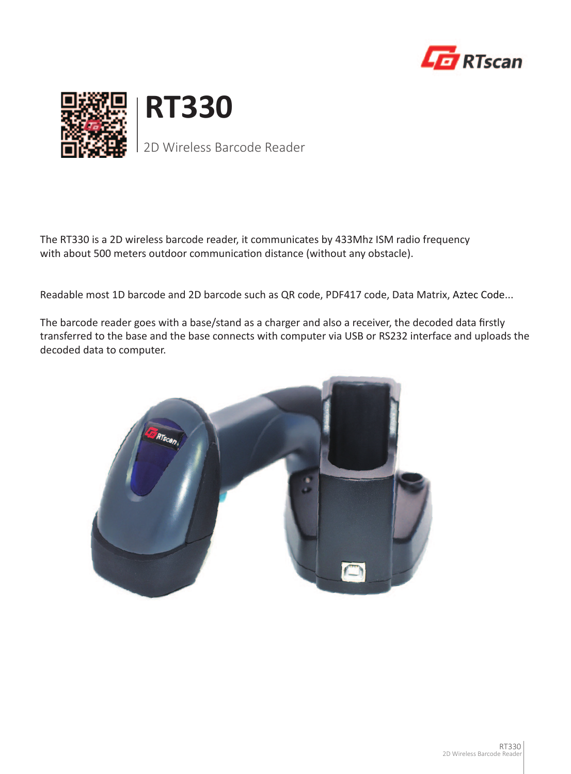





2D Wireless Barcode Reader

The RT330 is a 2D wireless barcode reader, it communicates by 433Mhz ISM radio frequency with about 500 meters outdoor communication distance (without any obstacle).

Readable most 1D barcode and 2D barcode such as QR code, PDF417 code, Data Matrix, Aztec Code...

The barcode reader goes with a base/stand as a charger and also a receiver, the decoded data firstly transferred to the base and the base connects with computer via USB or RS232 interface and uploads the decoded data to computer.